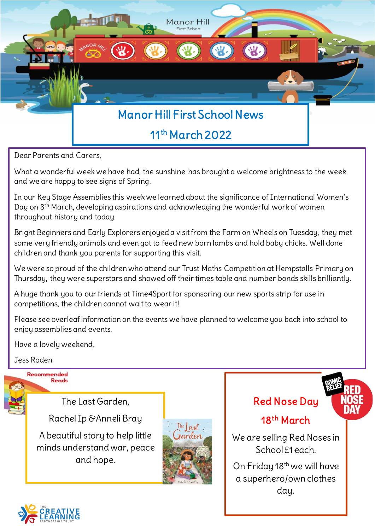

Dear Parents and Carers,

What a wonderful week we have had, the sunshine has brought a welcome brightness to the week and we are happy to see signs of Spring.

In our Key Stage Assemblies this week we learned about the significance of International Women's Day on 8th March, developing aspirations and acknowledging the wonderful work of women throughout history and today.

Bright Beginners and Early Explorers enjoyed a visit from the Farm on Wheels on Tuesday, they met some very friendly animals and even got to feed new born lambs and hold baby chicks. Well done children and thank you parents for supporting this visit.

We were so proud of the children who attend our Trust Maths Competition at Hempstalls Primary on Thursday, they were superstars and showed off their times table and number bonds skills brilliantly.

A huge thank you to our friends at Time4Sport for sponsoring our new sports strip for use in competitions, the children cannot wait to wear it!

Please see overleaf information on the events we have planned to welcome you back into school to enjoy assemblies and events.

Have a lovely weekend,

Jess Roden



The Last Garden,

Rachel Ip &Anneli Bray

A beautiful story to help little minds understand war, peace and hope.



Red Nose Day



## 18<sup>th</sup> March

 $\overline{a}$  School £1 each. We are selling Red Noses in

On Friday 18<sup>th</sup> we will have a superhero/own clothes day.